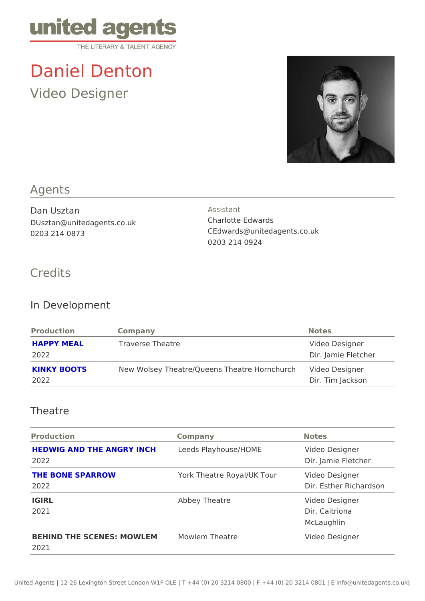# Daniel Denton

Video Designer

## Agents

Dan Usztan DUsztan@unitedagents.co.uk 0203 214 0873

Assistant Charlotte Edwards CEdwards@unitedagents.co.uk 0203 214 0924

## Credits

#### In Development

| Production          | Company                                          | Notes                                 |
|---------------------|--------------------------------------------------|---------------------------------------|
| HAPPY MEAL<br>2022  | Traverse Theatre                                 | Video Designer<br>Dir. Jamie Fletcher |
| KINKY BOOTS<br>2022 | New Wolsey Theatre/Queens Theatre HodeohDeshgner | Dir. Tim Jackson                      |

#### Theatre

| Production                                                         | Company                               | Notes                                          |
|--------------------------------------------------------------------|---------------------------------------|------------------------------------------------|
| HEDWIG AND THE ANGRY INCHeds Playhouse/HOME Video Designer<br>2022 |                                       | Dir. Jamie Fletcher                            |
| THE BONE SPARROW<br>2022                                           | York Theatre Royal/UK Toudeo Designer | Dir. Esther Richardson                         |
| IGIRL<br>2021                                                      | Abbey Theatre                         | Video Designer<br>Dir. Caitriona<br>McLaughlin |
| BEHIND THE SCENES: MOWLMMowlem Theatre<br>2021                     |                                       | Video Designer                                 |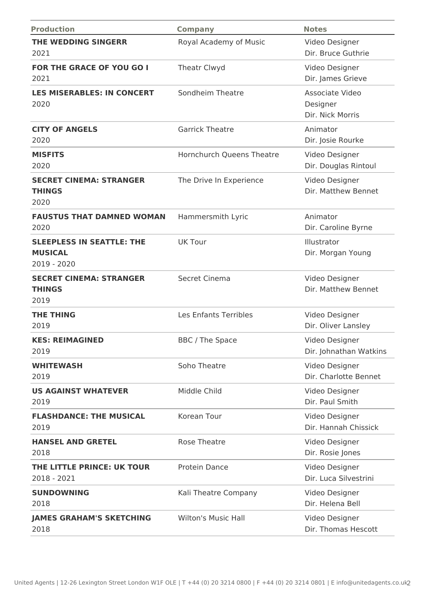| <b>Production</b>                                                 | <b>Company</b>             | <b>Notes</b>                                    |
|-------------------------------------------------------------------|----------------------------|-------------------------------------------------|
| <b>THE WEDDING SINGERR</b><br>2021                                | Royal Academy of Music     | Video Designer<br>Dir. Bruce Guthrie            |
| <b>FOR THE GRACE OF YOU GO I</b><br>2021                          | Theatr Clwyd               | Video Designer<br>Dir. James Grieve             |
| <b>LES MISERABLES: IN CONCERT</b><br>2020                         | Sondheim Theatre           | Associate Video<br>Designer<br>Dir. Nick Morris |
| <b>CITY OF ANGELS</b><br>2020                                     | <b>Garrick Theatre</b>     | Animator<br>Dir. Josie Rourke                   |
| <b>MISFITS</b><br>2020                                            | Hornchurch Queens Theatre  | Video Designer<br>Dir. Douglas Rintoul          |
| <b>SECRET CINEMA: STRANGER</b><br><b>THINGS</b><br>2020           | The Drive In Experience    | Video Designer<br>Dir. Matthew Bennet           |
| <b>FAUSTUS THAT DAMNED WOMAN</b><br>2020                          | Hammersmith Lyric          | Animator<br>Dir. Caroline Byrne                 |
| <b>SLEEPLESS IN SEATTLE: THE</b><br><b>MUSICAL</b><br>2019 - 2020 | <b>UK Tour</b>             | Illustrator<br>Dir. Morgan Young                |
| <b>SECRET CINEMA: STRANGER</b><br><b>THINGS</b><br>2019           | Secret Cinema              | Video Designer<br>Dir. Matthew Bennet           |
| <b>THE THING</b><br>2019                                          | Les Enfants Terribles      | Video Designer<br>Dir. Oliver Lansley           |
| <b>KES: REIMAGINED</b><br>2019                                    | BBC / The Space            | Video Designer<br>Dir. Johnathan Watkins        |
| <b>WHITEWASH</b><br>2019                                          | Soho Theatre               | Video Designer<br>Dir. Charlotte Bennet         |
| <b>US AGAINST WHATEVER</b><br>2019                                | Middle Child               | Video Designer<br>Dir. Paul Smith               |
| <b>FLASHDANCE: THE MUSICAL</b><br>2019                            | Korean Tour                | Video Designer<br>Dir. Hannah Chissick          |
| <b>HANSEL AND GRETEL</b><br>2018                                  | <b>Rose Theatre</b>        | Video Designer<br>Dir. Rosie Jones              |
| THE LITTLE PRINCE: UK TOUR<br>2018 - 2021                         | Protein Dance              | Video Designer<br>Dir. Luca Silvestrini         |
| <b>SUNDOWNING</b><br>2018                                         | Kali Theatre Company       | Video Designer<br>Dir. Helena Bell              |
| <b>JAMES GRAHAM'S SKETCHING</b><br>2018                           | <b>Wilton's Music Hall</b> | Video Designer<br>Dir. Thomas Hescott           |